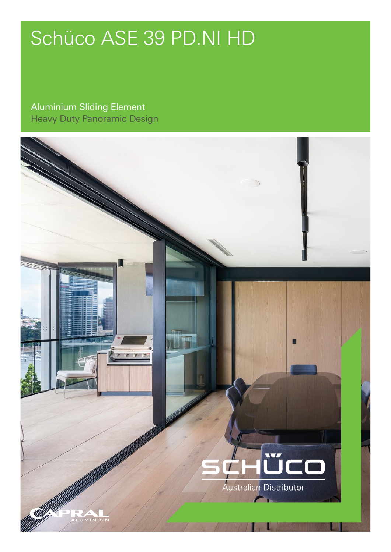## Schüco ASE 39 PD.NI HD

Aluminium Sliding Element Heavy Duty Panoramic Design